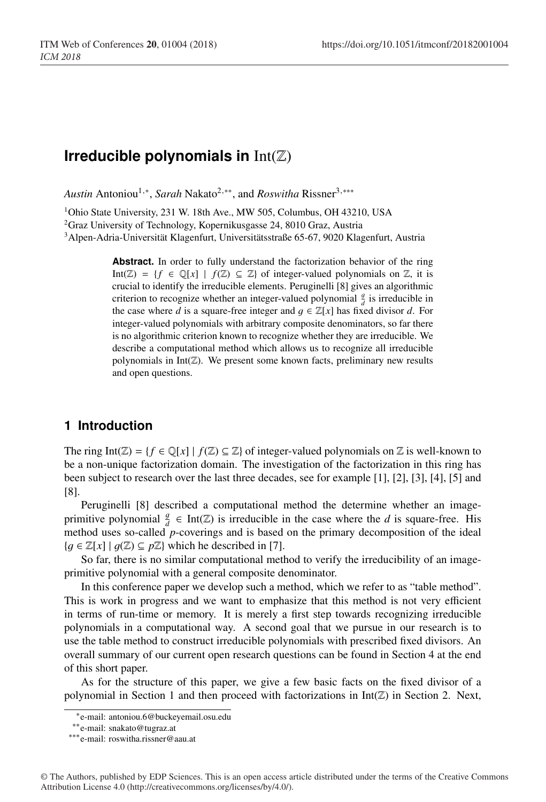# **Irreducible polynomials in** Int(Z)

*Austin* Antoniou<sup>1,∗</sup>, *Sarah* Nakato<sup>2,∗∗</sup>, and *Roswitha* Rissner<sup>3,</sup> \*\*\*

<sup>1</sup>Ohio State University, 231 W. 18th Ave., MW 505, Columbus, OH 43210, USA <sup>2</sup>Graz University of Technology, Kopernikusgasse 24, 8010 Graz, Austria

3Alpen-Adria-Universität Klagenfurt, Universitätsstraße 65-67, 9020 Klagenfurt, Austria

Abstract. In order to fully understand the factorization behavior of the ring Int( $\mathbb{Z}$ ) = {*f* ∈  $\mathbb{Q}[x]$  | *f*( $\mathbb{Z}$ )  $\subseteq$   $\mathbb{Z}$ } of integer-valued polynomials on  $\mathbb{Z}$ , it is crucial to identify the irreducible elements. Peruginelli [8] gives an algorithmic criterion to recognize whether an integer-valued polynomial  $\frac{g}{d}$  is irreducible in the case where *d* is a square-free integer and  $q \in \mathbb{Z}[x]$  has fixed divisor *d*. For integer-valued polynomials with arbitrary composite denominators, so far there is no algorithmic criterion known to recognize whether they are irreducible. We describe a computational method which allows us to recognize all irreducible polynomials in Int $(\mathbb{Z})$ . We present some known facts, preliminary new results and open questions.

# **1 Introduction**

The ring Int( $\mathbb{Z}$ ) = { $f \in \mathbb{Q}[x] \mid f(\mathbb{Z}) \subseteq \mathbb{Z}$ } of integer-valued polynomials on  $\mathbb Z$  is well-known to be a non-unique factorization domain. The investigation of the factorization in this ring has been subject to research over the last three decades, see for example [1], [2], [3], [4], [5] and [8].

Peruginelli [8] described a computational method the determine whether an imageprimitive polynomial  $\frac{g}{d} \in \text{Int}(\mathbb{Z})$  is irreducible in the case where the *d* is square-free. His method uses so-called *p*-coverings and is based on the primary decomposition of the ideal  ${g \in \mathbb{Z}[x] \mid g(\mathbb{Z}) \subseteq p\mathbb{Z}}$  which he described in [7].

So far, there is no similar computational method to verify the irreducibility of an imageprimitive polynomial with a general composite denominator.

In this conference paper we develop such a method, which we refer to as "table method". This is work in progress and we want to emphasize that this method is not very efficient in terms of run-time or memory. It is merely a first step towards recognizing irreducible polynomials in a computational way. A second goal that we pursue in our research is to use the table method to construct irreducible polynomials with prescribed fixed divisors. An overall summary of our current open research questions can be found in Section 4 at the end of this short paper.

As for the structure of this paper, we give a few basic facts on the fixed divisor of a polynomial in Section 1 and then proceed with factorizations in  $Int(\mathbb{Z})$  in Section 2. Next,

<sup>∗</sup>e-mail: antoniou.6@buckeyemail.osu.edu

<sup>∗∗</sup>e-mail: snakato@tugraz.at

<sup>∗∗∗</sup>e-mail: roswitha.rissner@aau.at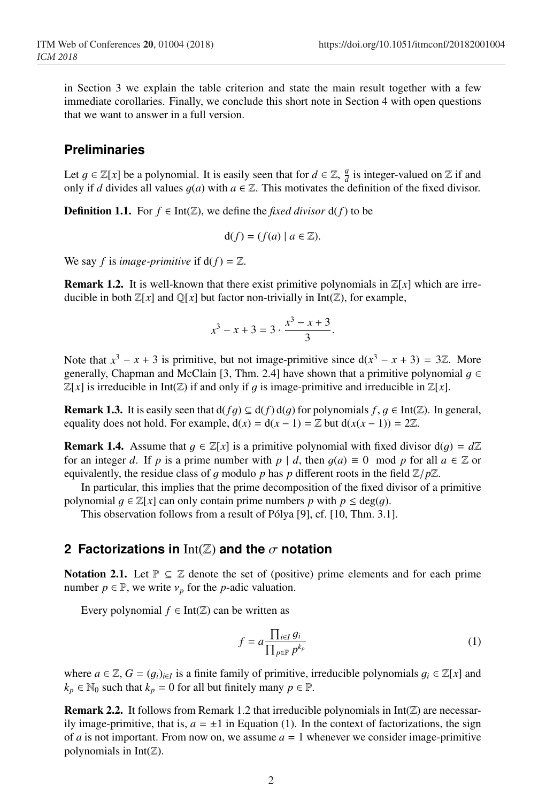in Section 3 we explain the table criterion and state the main result together with a few immediate corollaries. Finally, we conclude this short note in Section 4 with open questions that we want to answer in a full version.

## **Preliminaries**

Let  $g \in \mathbb{Z}[x]$  be a polynomial. It is easily seen that for  $d \in \mathbb{Z}$ ,  $\frac{g}{d}$  is integer-valued on  $\mathbb Z$  if and only if *d* divides all values  $g(a)$  with  $a \in \mathbb{Z}$ . This motivates the definition of the fixed divisor.

**Definition 1.1.** For  $f \in Int(\mathbb{Z})$ , we define the *fixed divisor*  $d(f)$  to be

$$
d(f) = (f(a) \mid a \in \mathbb{Z}).
$$

We say *f* is *image-primitive* if  $d(f) = \mathbb{Z}$ .

**Remark 1.2.** It is well-known that there exist primitive polynomials in  $\mathbb{Z}[x]$  which are irreducible in both  $\mathbb{Z}[x]$  and  $\mathbb{Q}[x]$  but factor non-trivially in Int( $\mathbb{Z}$ ), for example,

$$
x^3 - x + 3 = 3 \cdot \frac{x^3 - x + 3}{3}.
$$

Note that  $x^3 - x + 3$  is primitive, but not image-primitive since  $d(x^3 - x + 3) = 3\mathbb{Z}$ . More generally, Chapman and McClain [3, Thm. 2.4] have shown that a primitive polynomial  $q \in$  $\mathbb{Z}[x]$  is irreducible in Int( $\mathbb{Z}$ ) if and only if q is image-primitive and irreducible in  $\mathbb{Z}[x]$ .

**Remark 1.3.** It is easily seen that  $d(fq) \subseteq d(f) d(q)$  for polynomials  $f, g \in Int(\mathbb{Z})$ . In general, equality does not hold. For example,  $d(x) = d(x - 1) = \mathbb{Z}$  but  $d(x(x - 1)) = 2\mathbb{Z}$ .

**Remark 1.4.** Assume that  $q \in \mathbb{Z}[x]$  is a primitive polynomial with fixed divisor  $d(q) = d\mathbb{Z}$ for an integer *d*. If *p* is a prime number with  $p \mid d$ , then  $q(a) \equiv 0 \mod p$  for all  $a \in \mathbb{Z}$  or equivalently, the residue class of q modulo p has p different roots in the field  $\mathbb{Z}/p\mathbb{Z}$ .

In particular, this implies that the prime decomposition of the fixed divisor of a primitive polynomial  $q \in \mathbb{Z}[x]$  can only contain prime numbers p with  $p \leq deg(q)$ .

This observation follows from a result of Pólya [9], cf. [10, Thm. 3.1].

#### **2 Factorizations in** Int(Z) **and the** σ **notation**

**Notation 2.1.** Let  $\mathbb{P} \subseteq \mathbb{Z}$  denote the set of (positive) prime elements and for each prime number  $p \in \mathbb{P}$ , we write  $v_p$  for the *p*-adic valuation.

Every polynomial  $f \in Int(\mathbb{Z})$  can be written as

$$
f = a \frac{\prod_{i \in I} g_i}{\prod_{p \in \mathbb{P}} p^{k_p}}
$$
(1)

where  $a \in \mathbb{Z}, G = (q_i)_{i \in I}$  is a finite family of primitive, irreducible polynomials  $q_i \in \mathbb{Z}[x]$  and  $k_p \in \mathbb{N}_0$  such that  $k_p = 0$  for all but finitely many  $p \in \mathbb{P}$ .

**Remark 2.2.** It follows from Remark 1.2 that irreducible polynomials in  $Int(\mathbb{Z})$  are necessarily image-primitive, that is,  $a = \pm 1$  in Equation (1). In the context of factorizations, the sign of *a* is not important. From now on, we assume  $a = 1$  whenever we consider image-primitive polynomials in  $Int(\mathbb{Z})$ .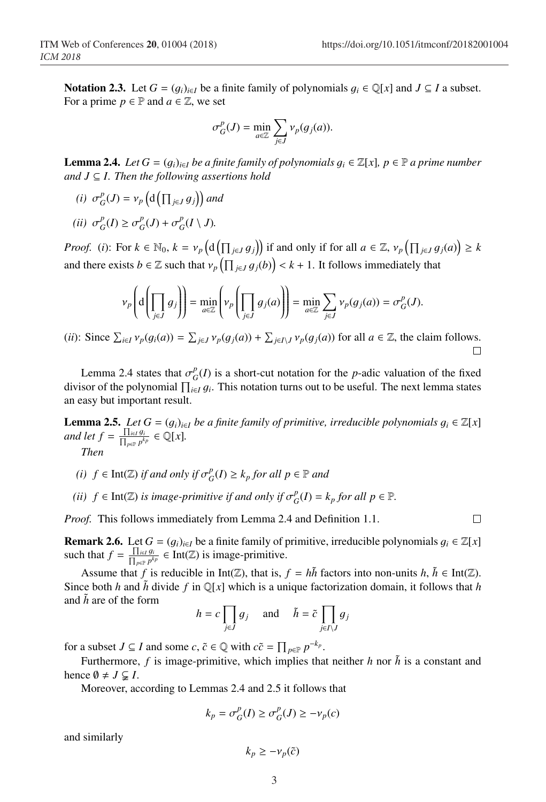$\Box$ 

Notation 2.3. Let  $G = (g_i)_{i \in I}$  be a finite family of polynomials  $g_i \in \mathbb{Q}[x]$  and  $J \subseteq I$  a subset. For a prime  $p \in \mathbb{P}$  and  $a \in \mathbb{Z}$ , we set

$$
\sigma_G^p(J) = \min_{a \in \mathbb{Z}} \sum_{j \in J} \nu_p(g_j(a)).
$$

**Lemma 2.4.** *Let*  $G = (g_i)_{i \in I}$  *be a finite family of polynomials*  $g_i \in \mathbb{Z}[x]$ *, p*  $\in \mathbb{P}$  *a prime number and J* ⊆ *I. Then the following assertions hold*

*(i)*  $\sigma_G^p(J) = v_p\left(d\left(\prod_{j\in J} g_j\right)\right)$  and

$$
(ii) \ \sigma_G^p(I) \geq \sigma_G^p(J) + \sigma_G^p(I \setminus J).
$$

*Proof.* (*i*): For  $k \in \mathbb{N}_0$ ,  $k = v_p \left( d \left( \prod_{j \in J} g_j \right) \right)$  if and only if for all  $a \in \mathbb{Z}$ ,  $v_p \left( \prod_{j \in J} g_j(a) \right) \ge k$ and there exists  $b \in \mathbb{Z}$  such that  $v_p\left(\prod_{j\in J}g_j(b)\right) < k+1$ . It follows immediately that

$$
\nu_p\left(\mathrm{d}\left(\prod_{j\in J} g_j\right)\right) = \min_{a\in\mathbb{Z}} \left(\nu_p\left(\prod_{j\in J} g_j(a)\right)\right) = \min_{a\in\mathbb{Z}} \sum_{j\in J} \nu_p(g_j(a)) = \sigma_G^p(J).
$$

(*ii*): Since  $\sum_{i \in I} v_p(g_i(a)) = \sum_{j \in J} v_p(g_j(a)) + \sum_{j \in I \setminus J} v_p(g_j(a))$  for all  $a \in \mathbb{Z}$ , the claim follows.

Lemma 2.4 states that  $\sigma_G^p(I)$  is a short-cut notation for the *p*-adic valuation of the fixed divisor of the polynomial  $\prod_{i \in I} g_i$ . This notation turns out to be useful. The next lemma states an easy but important result.

**Lemma 2.5.** *Let*  $G = (g_i)_{i \in I}$  *be a finite family of primitive, irreducible polynomials*  $g_i \in \mathbb{Z}[x]$ *and let*  $f = \frac{\prod_{i \in I} g_i}{\prod_{p \in P} p^{k_p}} \in \mathbb{Q}[x]$ *. Then*

- *(i)*  $f \in \text{Int}(\mathbb{Z})$  *if and only if*  $\sigma_G^p(I) \geq k_p$  *for all*  $p \in \mathbb{P}$  *and*
- *(ii)*  $f \in \text{Int}(\mathbb{Z})$  *is image-primitive if and only if*  $\sigma_G^p(I) = k_p$  *for all*  $p \in \mathbb{P}$ *.*

*Proof.* This follows immediately from Lemma 2.4 and Definition 1.1.

**Remark 2.6.** Let  $G = (g_i)_{i \in I}$  be a finite family of primitive, irreducible polynomials  $g_i \in \mathbb{Z}[x]$ such that  $f = \frac{\prod_{i \in I} g_i}{\prod_{p \in P} p^{k_p}} \in \text{Int}(\mathbb{Z})$  is image-primitive.

Assume that *f* is reducible in Int( $\mathbb{Z}$ ), that is,  $f = h\overline{h}$  factors into non-units  $h, \overline{h} \in \text{Int}(\mathbb{Z})$ . Since both *h* and  $\bar{h}$  divide  $f$  in Q[x] which is a unique factorization domain, it follows that *h* and  $\tilde{h}$  are of the form

$$
h = c \prod_{j \in J} g_j \quad \text{and} \quad \tilde{h} = \tilde{c} \prod_{j \in I \setminus J} g_j
$$

for a subset *J* ⊆ *I* and some *c*,  $\tilde{c} \in \mathbb{Q}$  with  $c\tilde{c} = \prod_{p \in \mathbb{P}} p^{-k_p}$ .

Furthermore,  $f$  is image-primitive, which implies that neither  $h$  nor  $\tilde{h}$  is a constant and hence  $\emptyset \neq J \subsetneq I$ .

Moreover, according to Lemmas 2.4 and 2.5 it follows that

$$
k_p = \sigma_G^p(I) \geq \sigma_G^p(J) \geq -\nu_p(c)
$$

and similarly

$$
k_p \geq -\nu_p(\tilde{c})
$$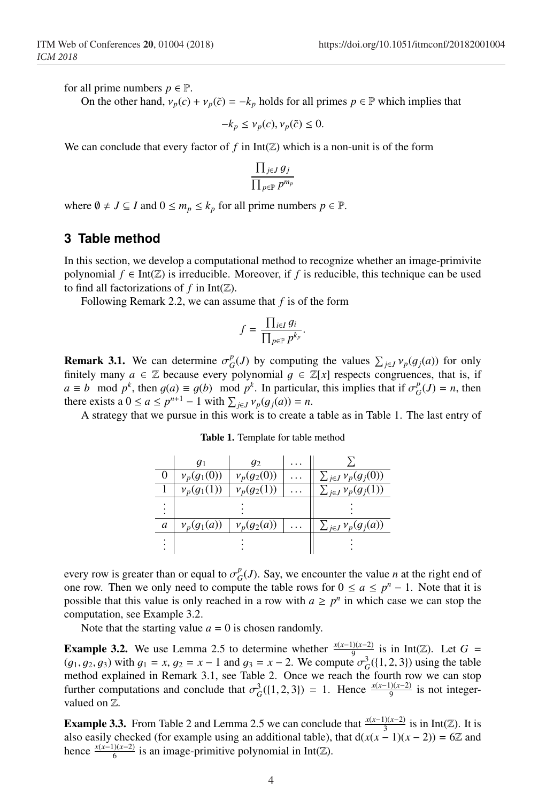for all prime numbers  $p \in \mathbb{P}$ .

On the other hand,  $v_p(c) + v_p(\tilde{c}) = -k_p$  holds for all primes  $p \in \mathbb{P}$  which implies that

 $-k_p \leq v_p(c), v_p(\tilde{c}) \leq 0.$ 

We can conclude that every factor of  $f$  in  $Int(\mathbb{Z})$  which is a non-unit is of the form

$$
\frac{\prod_{j\in J} g_j}{\prod_{p\in \mathbb{P}} p^{m_p}}
$$

where  $\emptyset \neq J \subseteq I$  and  $0 \leq m_p \leq k_p$  for all prime numbers  $p \in \mathbb{P}$ .

#### **3 Table method**

In this section, we develop a computational method to recognize whether an image-primivite polynomial  $f \in Int(\mathbb{Z})$  is irreducible. Moreover, if f is reducible, this technique can be used to find all factorizations of  $f$  in  $Int(\mathbb{Z})$ .

Following Remark 2.2, we can assume that *f* is of the form

$$
f = \frac{\prod_{i \in I} g_i}{\prod_{p \in \mathbb{P}} p^{k_p}}.
$$

**Remark 3.1.** We can determine  $\sigma_G^p(J)$  by computing the values  $\sum_{j\in J} v_p(g_j(a))$  for only finitely many  $a \in \mathbb{Z}$  because every polynomial  $g \in \mathbb{Z}[x]$  respects congruences, that is, if  $a \equiv b \mod p^k$ , then  $g(a) \equiv g(b) \mod p^k$ . In particular, this implies that if  $\sigma_G^p(J) = n$ , then there exists a  $0 \le a \le p^{n+1} - 1$  with  $\sum_{i \in J} v_p(g_i(a)) = n$ .

A strategy that we pursue in this work is to create a table as in Table 1. The last entry of

|   | $q_1$         | $q_2$         |                              |
|---|---------------|---------------|------------------------------|
|   | $v_p(g_1(0))$ | $v_p(g_2(0))$ | $\sum_{j\in J}\nu_p(g_j(0))$ |
|   | $v_p(g_1(1))$ | $v_p(g_2(1))$ | $\sum_{j\in J}\nu_p(g_j(1))$ |
|   |               |               |                              |
| a | $v_p(g_1(a))$ | $v_p(g_2(a))$ | $\sum_{j\in J}\nu_p(g_j(a))$ |
|   |               |               |                              |

Table 1. Template for table method

every row is greater than or equal to  $\sigma_G^p(J)$ . Say, we encounter the value *n* at the right end of one row. Then we only need to compute the table rows for  $0 \le a \le p^n - 1$ . Note that it is possible that this value is only reached in a row with  $a \geq p^n$  in which case we can stop the computation, see Example 3.2.

Note that the starting value  $a = 0$  is chosen randomly.

**Example 3.2.** We use Lemma 2.5 to determine whether  $\frac{x(x-1)(x-2)}{9}$  is in Int(Z). Let *G* =  $(g_1, g_2, g_3)$  with  $g_1 = x$ ,  $g_2 = x - 1$  and  $g_3 = x - 2$ . We compute  $\sigma_G^3({1, 2, 3})$  using the table method explained in Remark 3.1, see Table 2. Once we reach the fourth row we can stop further computations and conclude that  $\sigma_G^3({1, 2, 3}) = 1$ . Hence  $\frac{x(x-1)(x-2)}{9}$  is not integervalued on Z.

**Example 3.3.** From Table 2 and Lemma 2.5 we can conclude that  $\frac{x(x-1)(x-2)}{3}$  is in Int( $\mathbb{Z}$ ). It is also easily checked (for example using an additional table), that  $d(x(x-1)(x-2)) = 6\mathbb{Z}$  and hence  $\frac{x(x-1)(x-2)}{6}$  is an image-primitive polynomial in Int( $\mathbb{Z}$ ).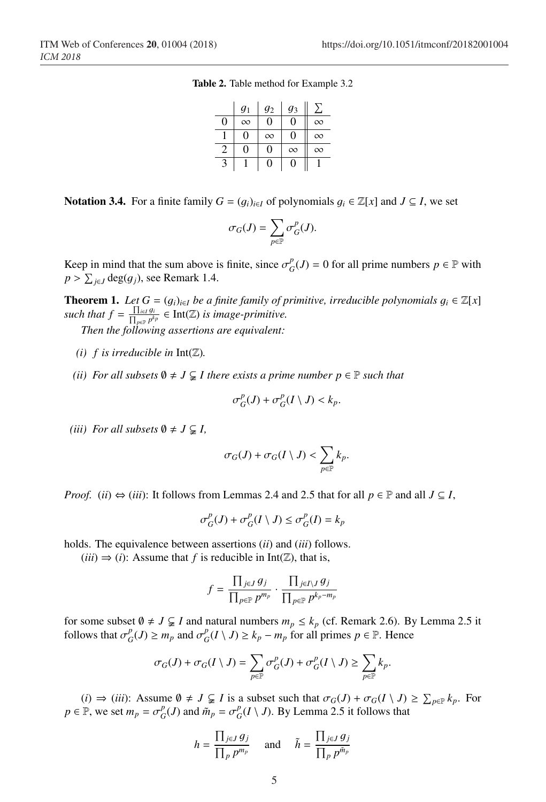Table 2. Table method for Example 3.2

|   | g <sub>1</sub> | $g_2$    | $g_3$    |          |
|---|----------------|----------|----------|----------|
| 0 | $\infty$       | 0        | 0        | $\infty$ |
|   | $\Omega$       | $\infty$ |          | $\infty$ |
| 2 | 0              | 0        | $\infty$ | $\infty$ |
| 3 |                | 0        | 0        |          |

Notation 3.4. For a finite family *G* =  $(g_i)_{i \in I}$  of polynomials  $g_i$  ∈  $\mathbb{Z}[x]$  and *J* ⊆ *I*, we set

$$
\sigma_G(J)=\sum_{p\in\mathbb{P}}\sigma^p_G(J).
$$

Keep in mind that the sum above is finite, since  $\sigma_G^p(J) = 0$  for all prime numbers  $p \in \mathbb{P}$  with  $p > \sum_{i \in J} deg(g_i)$ , see Remark 1.4.

**Theorem 1.** *Let*  $G = (g_i)_{i \in I}$  *be a finite family of primitive, irreducible polynomials*  $g_i \in \mathbb{Z}[x]$ *such that*  $f = \frac{\prod_{i \in I} g_i}{\prod_{p \in P} p^{k_p}} \in \text{Int}(\mathbb{Z})$  *is image-primitive.* 

*Then the following assertions are equivalent:*

- *(i)*  $f$  *is irreducible in*  $Int(\mathbb{Z})$ *.*
- *(ii) For all subsets*  $\emptyset \neq J \subsetneq I$  *there exists a prime number*  $p \in \mathbb{P}$  *such that*

$$
\sigma_G^p(J) + \sigma_G^p(I \setminus J) < k_p.
$$

*(iii) For all subsets*  $\emptyset \neq J \subsetneq I$ ,

$$
\sigma_G(J) + \sigma_G(I \setminus J) < \sum_{p \in \mathbb{P}} k_p.
$$

*Proof.* (*ii*)  $\Leftrightarrow$  (*iii*): It follows from Lemmas 2.4 and 2.5 that for all  $p \in \mathbb{P}$  and all  $J \subseteq I$ ,

$$
\sigma^p_G(J)+\sigma^p_G(I\setminus J)\leq \sigma^p_G(I)=k_p
$$

holds. The equivalence between assertions (*ii*) and (*iii*) follows.

 $(iii) \Rightarrow (i)$ : Assume that *f* is reducible in Int( $\mathbb{Z}$ ), that is,

$$
f = \frac{\prod_{j \in J} g_j}{\prod_{p \in \mathbb{P}} p^{m_p}} \cdot \frac{\prod_{j \in I \setminus J} g_j}{\prod_{p \in \mathbb{P}} p^{k_p - m_p}}
$$

for some subset  $\emptyset \neq J \subsetneq I$  and natural numbers  $m_p \leq k_p$  (cf. Remark 2.6). By Lemma 2.5 it follows that  $\sigma_G^p(J) \ge m_p$  and  $\sigma_G^p(I \setminus J) \ge k_p - m_p$  for all primes  $p \in \mathbb{P}$ . Hence

$$
\sigma_G(J) + \sigma_G(I \setminus J) = \sum_{p \in \mathbb{P}} \sigma_G^p(J) + \sigma_G^p(I \setminus J) \ge \sum_{p \in \mathbb{P}} k_p.
$$

(*i*) ⇒ (*iii*): Assume  $\emptyset \neq J \subsetneq I$  is a subset such that  $\sigma_G(J) + \sigma_G(I \setminus J) \geq \sum_{p \in \mathbb{P}} k_p$ . For  $p \in \mathbb{P}$ , we set  $m_p = \sigma_G^p(J)$  and  $\tilde{m}_p = \sigma_G^p(I \setminus J)$ . By Lemma 2.5 it follows that

$$
h = \frac{\prod_{j \in J} g_j}{\prod_p p^{m_p}} \quad \text{and} \quad \tilde{h} = \frac{\prod_{j \in J} g_j}{\prod_p p^{\tilde{m}_p}}
$$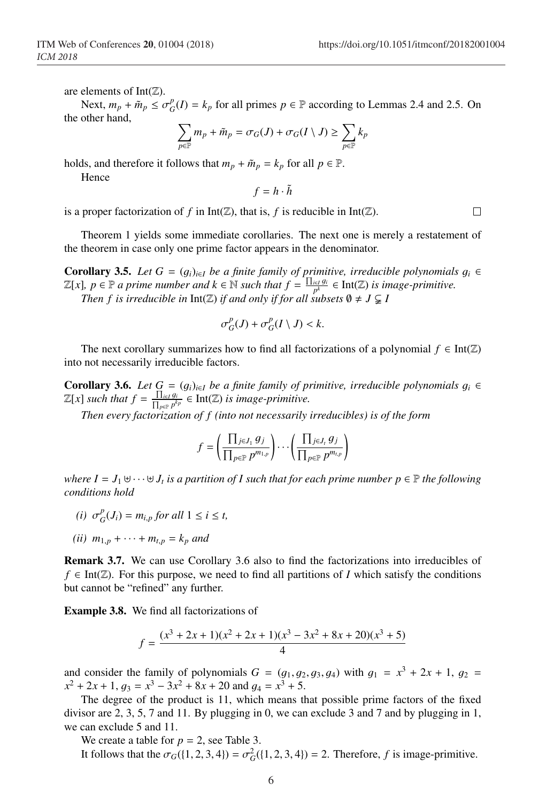are elements of Int $(\mathbb{Z})$ .

Next,  $m_p + \tilde{m}_p \le \sigma_G^p(I) = k_p$  for all primes  $p \in \mathbb{P}$  according to Lemmas 2.4 and 2.5. On the other hand,

$$
\sum_{p\in\mathbb{P}}m_p+\tilde{m}_p=\sigma_G(J)+\sigma_G(I\setminus J)\geq \sum_{p\in\mathbb{P}}k_p
$$

holds, and therefore it follows that  $m_p + \tilde{m}_p = k_p$  for all  $p \in \mathbb{P}$ .

Hence

 $f = h \cdot \tilde{h}$ 

is a proper factorization of  $f$  in Int( $\mathbb{Z}$ ), that is,  $f$  is reducible in Int( $\mathbb{Z}$ ).

Theorem 1 yields some immediate corollaries. The next one is merely a restatement of the theorem in case only one prime factor appears in the denominator.

**Corollary 3.5.** *Let*  $G = (g_i)_{i \in I}$  *be a finite family of primitive, irreducible polynomials*  $g_i \in$  $\mathbb{Z}[x]$ ,  $p \in \mathbb{P}$  *a prime number and*  $k \in \mathbb{N}$  *such that*  $f = \frac{\prod_{i \in I} g_i}{p^k}$  ∈ Int( $\mathbb{Z}$ ) *is image-primitive. Then f is irreducible in* Int( $\mathbb{Z}$ ) *if and only if for all subsets*  $\emptyset \neq J \subsetneq I$ 

$$
\sigma_G^p(J) + \sigma_G^p(I \setminus J) < k.
$$

The next corollary summarizes how to find all factorizations of a polynomial  $f \in Int(\mathbb{Z})$ into not necessarily irreducible factors.

**Corollary 3.6.** *Let G* =  $(g_i)_{i \in I}$  *be a finite family of primitive, irreducible polynomials*  $g_i$  ∈  $\mathbb{Z}[x]$  *such that*  $f = \frac{\prod_{i \in I} g_i}{\prod_{p \in P} p^{kp}} \in \text{Int}(\mathbb{Z})$  *is image-primitive.* 

*Then every factorization of f (into not necessarily irreducibles) is of the form*

$$
f = \left(\frac{\prod_{j\in J_1} g_j}{\prod_{p\in \mathbb{P}} p^{m_{1,p}}}\right) \cdots \left(\frac{\prod_{j\in J_t} g_j}{\prod_{p\in \mathbb{P}} p^{m_{t,p}}}\right)
$$

*where*  $I = J_1 \oplus \cdots \oplus J_t$  *is a partition of I such that for each prime number*  $p \in \mathbb{P}$  *the following conditions hold*

- *(i)*  $\sigma_G^p(J_i) = m_{i,p}$  *for all*  $1 \le i \le t$ ,
- *(ii)*  $m_{1,p} + \cdots + m_{t,p} = k_p$  *and*

Remark 3.7. We can use Corollary 3.6 also to find the factorizations into irreducibles of  $f \in Int(\mathbb{Z})$ . For this purpose, we need to find all partitions of *I* which satisfy the conditions but cannot be "refined" any further.

Example 3.8. We find all factorizations of

$$
f = \frac{(x^3 + 2x + 1)(x^2 + 2x + 1)(x^3 - 3x^2 + 8x + 20)(x^3 + 5)}{4}
$$

and consider the family of polynomials  $G = (g_1, g_2, g_3, g_4)$  with  $g_1 = x^3 + 2x + 1$ ,  $g_2 =$  $x^{2} + 2x + 1$ ,  $g_{3} = x^{3} - 3x^{2} + 8x + 20$  and  $g_{4} = x^{3} + 5$ .

The degree of the product is 11, which means that possible prime factors of the fixed divisor are 2, 3, 5, 7 and 11. By plugging in 0, we can exclude 3 and 7 and by plugging in 1, we can exclude 5 and 11.

We create a table for  $p = 2$ , see Table 3.

It follows that the  $\sigma_G(\{1, 2, 3, 4\}) = \sigma_G^2(\{1, 2, 3, 4\}) = 2$ . Therefore, *f* is image-primitive.

 $\Box$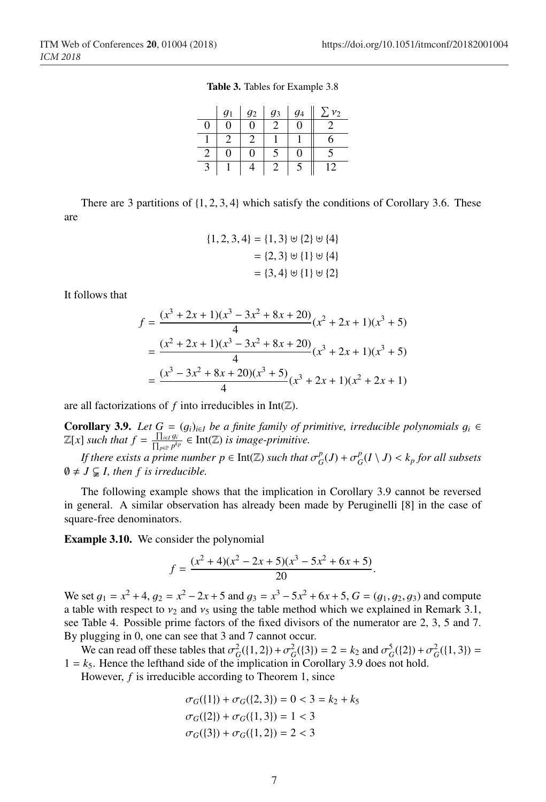Table 3. Tables for Example 3.8

|   | g <sub>1</sub> | g <sub>2</sub> | $g_3$ | $q_4$ | v <sub>2</sub> |
|---|----------------|----------------|-------|-------|----------------|
| 0 |                | 0              |       | 0     |                |
|   |                |                |       |       | b              |
| 2 |                | O              |       | 1     |                |
| 3 |                |                |       | C     | 12             |

There are 3 partitions of  $\{1, 2, 3, 4\}$  which satisfy the conditions of Corollary 3.6. These are

$$
\{1, 2, 3, 4\} = \{1, 3\} \uplus \{2\} \uplus \{4\}
$$

$$
= \{2, 3\} \uplus \{1\} \uplus \{4\}
$$

$$
= \{3, 4\} \uplus \{1\} \uplus \{2\}
$$

It follows that

$$
f = \frac{(x^3 + 2x + 1)(x^3 - 3x^2 + 8x + 20)}{4}(x^2 + 2x + 1)(x^3 + 5)
$$
  
= 
$$
\frac{(x^2 + 2x + 1)(x^3 - 3x^2 + 8x + 20)}{4}(x^3 + 2x + 1)(x^3 + 5)
$$
  
= 
$$
\frac{(x^3 - 3x^2 + 8x + 20)(x^3 + 5)}{4}(x^3 + 2x + 1)(x^2 + 2x + 1)
$$

are all factorizations of  $f$  into irreducibles in Int( $\mathbb{Z}$ ).

**Corollary 3.9.** *Let*  $G = (g_i)_{i \in I}$  *be a finite family of primitive, irreducible polynomials*  $g_i$  ∈  $\mathbb{Z}[x]$  *such that*  $f = \frac{\prod_{i \in I} g_i}{\prod_{p \in P} p^{k_p}} \in \text{Int}(\mathbb{Z})$  *is image-primitive.* 

*If there exists a prime number*  $p \in \text{Int}(\mathbb{Z})$  *<i>such that*  $\sigma_G^p(J) + \sigma_G^p(I \setminus J) < k_p$  *for all subsets*  $\emptyset \neq J \subsetneq I$ , then f is irreducible.

The following example shows that the implication in Corollary 3.9 cannot be reversed in general. A similar observation has already been made by Peruginelli [8] in the case of square-free denominators.

Example 3.10. We consider the polynomial

$$
f = \frac{(x^2 + 4)(x^2 - 2x + 5)(x^3 - 5x^2 + 6x + 5)}{20}.
$$

We set  $g_1 = x^2 + 4$ ,  $g_2 = x^2 - 2x + 5$  and  $g_3 = x^3 - 5x^2 + 6x + 5$ ,  $G = (g_1, g_2, g_3)$  and compute a table with respect to  $v_2$  and  $v_5$  using the table method which we explained in Remark 3.1, see Table 4. Possible prime factors of the fixed divisors of the numerator are 2, 3, 5 and 7. By plugging in 0, one can see that 3 and 7 cannot occur.

We can read off these tables that  $\sigma_G^2({1, 2}) + \sigma_G^2({3}) = 2 = k_2$  and  $\sigma_G^5({2}) + \sigma_G^2({1, 3}) =$  $1 = k<sub>5</sub>$ . Hence the lefthand side of the implication in Corollary 3.9 does not hold.

However, *f* is irreducible according to Theorem 1, since

$$
\sigma_G(\{1\}) + \sigma_G(\{2, 3\}) = 0 < 3 = k_2 + k_5
$$
\n
$$
\sigma_G(\{2\}) + \sigma_G(\{1, 3\}) = 1 < 3
$$
\n
$$
\sigma_G(\{3\}) + \sigma_G(\{1, 2\}) = 2 < 3
$$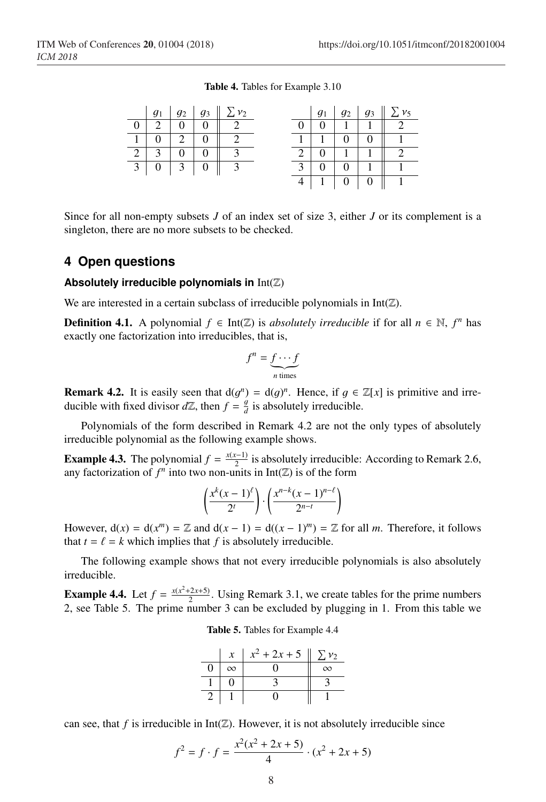3 0 0 1 1 1 4 | 1 | 0 | 0 || 1

|  |                                 | $\mid g_1 \mid g_2 \mid g_3 \mid \sum v_2$ |  |  | $g_1 \mid g_2 \mid g_3 \mid \sum v_5$ |
|--|---------------------------------|--------------------------------------------|--|--|---------------------------------------|
|  | $0 \mid 2 \mid 0 \mid 0 \mid 2$ |                                            |  |  |                                       |
|  |                                 | $1 \ 0 \ 2 \ 0 \ 1 \ 2$                    |  |  | $1 \mid 1 \mid 0 \mid 0 \mid 1$       |
|  | $2 \mid 3 \mid 0 \mid 0 \mid 3$ |                                            |  |  | 2   0   1   1   2                     |

Table 4. Tables for Example 3.10

Since for all non-empty subsets *J* of an index set of size 3, either *J* or its complement is a singleton, there are no more subsets to be checked.

## **4 Open questions**

#### **Absolutely irreducible polynomials in** Int(Z)

 $3 \mid 0 \mid 3 \mid 0 \mid 3$ 

We are interested in a certain subclass of irreducible polynomials in  $Int(\mathbb{Z})$ .

**Definition 4.1.** A polynomial  $f \in Int(\mathbb{Z})$  is *absolutely irreducible* if for all  $n \in \mathbb{N}$ ,  $f^n$  has exactly one factorization into irreducibles, that is,

$$
f^n = \underbrace{f \cdots f}_{n \text{ times}}
$$

**Remark 4.2.** It is easily seen that  $d(g^n) = d(g)^n$ . Hence, if  $g \in \mathbb{Z}[x]$  is primitive and irreducible with fixed divisor  $d\mathbb{Z}$ , then  $f = \frac{g}{d}$  is absolutely irreducible.

Polynomials of the form described in Remark 4.2 are not the only types of absolutely irreducible polynomial as the following example shows.

**Example 4.3.** The polynomial  $f = \frac{x(x-1)}{2}$  is absolutely irreducible: According to Remark 2.6, any factorization of  $f^n$  into two non-units in  $Int(\mathbb{Z})$  is of the form

$$
\left(\frac{x^k(x-1)^{\ell}}{2^t}\right) \cdot \left(\frac{x^{n-k}(x-1)^{n-\ell}}{2^{n-t}}\right)
$$

However,  $d(x) = d(x^m) = \mathbb{Z}$  and  $d(x - 1) = d((x - 1)^m) = \mathbb{Z}$  for all *m*. Therefore, it follows that  $t = \ell = k$  which implies that f is absolutely irreducible.

The following example shows that not every irreducible polynomials is also absolutely irreducible.

**Example 4.4.** Let  $f = \frac{x(x^2+2x+5)}{2}$ . Using Remark 3.1, we create tables for the prime numbers 2, see Table 5. The prime number 3 can be excluded by plugging in 1. From this table we

|    | $\boldsymbol{x}$ | $x^2 + 2x + 5$ | $\Sigma$ $v_2$ |
|----|------------------|----------------|----------------|
| I) | $\infty$         |                | $\infty$       |
|    |                  |                |                |
|    |                  |                |                |

can see, that *f* is irreducible in  $Int(\mathbb{Z})$ . However, it is not absolutely irreducible since

$$
f^{2} = f \cdot f = \frac{x^{2}(x^{2} + 2x + 5)}{4} \cdot (x^{2} + 2x + 5)
$$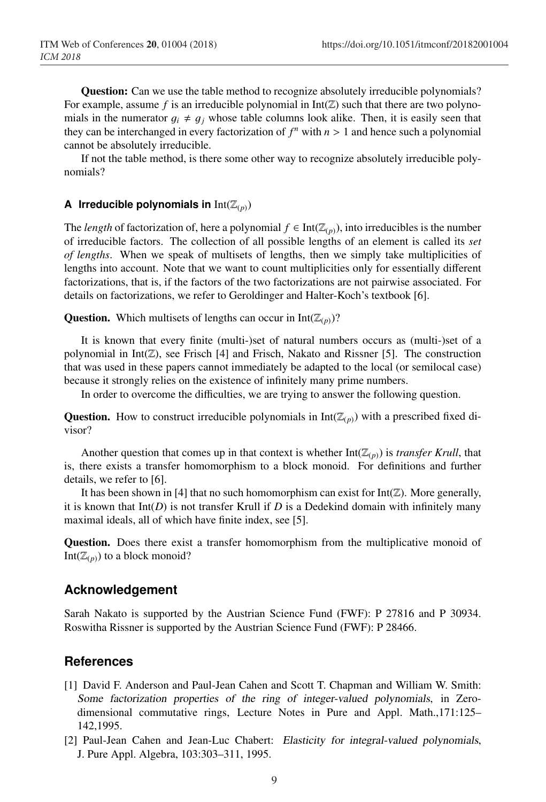Question: Can we use the table method to recognize absolutely irreducible polynomials? For example, assume f is an irreducible polynomial in  $Int(\mathbb{Z})$  such that there are two polynomials in the numerator  $q_i \neq q_j$  whose table columns look alike. Then, it is easily seen that they can be interchanged in every factorization of  $f^n$  with  $n > 1$  and hence such a polynomial cannot be absolutely irreducible.

If not the table method, is there some other way to recognize absolutely irreducible polynomials?

#### **A** Irreducible polynomials in  $Int(\mathbb{Z}_{(p)})$

The *length* of factorization of, here a polynomial  $f \in Int(\mathbb{Z}_{(p)})$ , into irreducibles is the number of irreducible factors. The collection of all possible lengths of an element is called its *set of lengths*. When we speak of multisets of lengths, then we simply take multiplicities of lengths into account. Note that we want to count multiplicities only for essentially different factorizations, that is, if the factors of the two factorizations are not pairwise associated. For details on factorizations, we refer to Geroldinger and Halter-Koch's textbook [6].

**Question.** Which multisets of lengths can occur in  $Int(\mathbb{Z}_{(p)})$ ?

It is known that every finite (multi-)set of natural numbers occurs as (multi-)set of a polynomial in  $Int(\mathbb{Z})$ , see Frisch [4] and Frisch, Nakato and Rissner [5]. The construction that was used in these papers cannot immediately be adapted to the local (or semilocal case) because it strongly relies on the existence of infinitely many prime numbers.

In order to overcome the difficulties, we are trying to answer the following question.

**Question.** How to construct irreducible polynomials in  $Int(\mathbb{Z}_{(p)})$  with a prescribed fixed divisor?

Another question that comes up in that context is whether  $Int(\mathbb{Z}_{(p)})$  is *transfer Krull*, that is, there exists a transfer homomorphism to a block monoid. For definitions and further details, we refer to [6].

It has been shown in [4] that no such homomorphism can exist for  $Int(\mathbb{Z})$ . More generally, it is known that  $Int(D)$  is not transfer Krull if  $D$  is a Dedekind domain with infinitely many maximal ideals, all of which have finite index, see [5].

Question. Does there exist a transfer homomorphism from the multiplicative monoid of Int( $\mathbb{Z}_{(p)}$ ) to a block monoid?

## **Acknowledgement**

Sarah Nakato is supported by the Austrian Science Fund (FWF): P 27816 and P 30934. Roswitha Rissner is supported by the Austrian Science Fund (FWF): P 28466.

## **References**

- [1] David F. Anderson and Paul-Jean Cahen and Scott T. Chapman and William W. Smith: *Some factorization properties of the ring of integer-valued polynomials*, in Zerodimensional commutative rings, Lecture Notes in Pure and Appl. Math.,171:125– 142,1995.
- [2] Paul-Jean Cahen and Jean-Luc Chabert: *Elasticity for integral-valued polynomials*, J. Pure Appl. Algebra, 103:303–311, 1995.